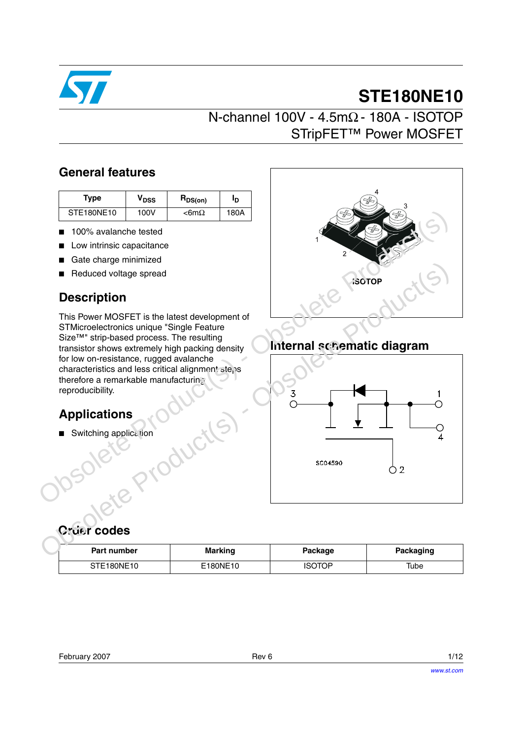

# **STE180NE10**

# N-channel 100V - 4.5mΩ - 180A - ISOTOP STripFET™ Power MOSFET

### **General features**

| Type       | $\bm{{\mathsf{v}}}_{\texttt{DSS}}$ | $R_{DS(on)}$    | םי   |
|------------|------------------------------------|-----------------|------|
| STE180NE10 | 100V                               | $<$ 6m $\Omega$ | 180A |

- 100% avalanche tested
- Low intrinsic capacitance
- Gate charge minimized
- Reduced voltage spread

## **Description**

This Power MOSFET is the latest development of STMicroelectronics unique "Single Feature Size™" strip-based process. The resulting transistor shows extremely high packing density for low on-resistance, rugged avalanche characteristics and less critical alignment steps therefore a remarkable manufacturing reproducibility.

# **Applications**

■ Switching application



# **Internal schematic diagram**



**Order codes**

| Part number | <b>Marking</b> | Package | Packaging |
|-------------|----------------|---------|-----------|
| STE180NE10  | E180NE10       | ISOTOP  | Tube      |

| February 2007 | Rev 6 | 1/12 |
|---------------|-------|------|
|               |       |      |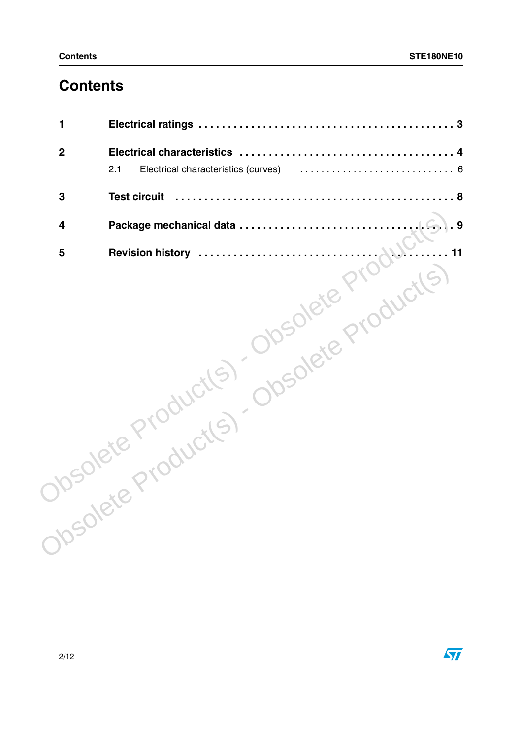# **Contents**

| Dipsolete Product(s) Obsolete Product(s) |
|------------------------------------------|
|                                          |

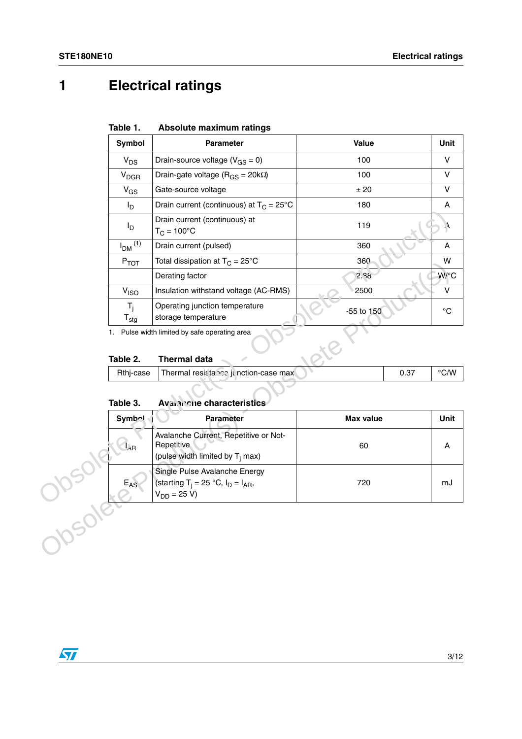# <span id="page-2-0"></span>**1 Electrical ratings**

| Absolute maximum ratings<br>Table 1. |
|--------------------------------------|
|--------------------------------------|

| Symbol                    | Parameter                                                                                 | <b>Value</b>     |      | Unit           |
|---------------------------|-------------------------------------------------------------------------------------------|------------------|------|----------------|
| $V_{DS}$                  | Drain-source voltage ( $V_{GS} = 0$ )                                                     | 100              |      | $\vee$         |
| $V_{DGR}$                 | Drain-gate voltage ( $R_{GS}$ = 20k $\Omega$ )                                            | 100              |      | V              |
| $V_{GS}$                  | Gate-source voltage                                                                       | ± 20             |      | $\vee$         |
| $I_D$                     | Drain current (continuous) at $T_C = 25^{\circ}C$                                         | 180              |      | Α              |
| l <sub>D</sub>            | Drain current (continuous) at<br>$T_C = 100^{\circ}C$                                     | 119              |      | ٨,             |
| $IDM$ <sup>(1)</sup>      | Drain current (pulsed)                                                                    | 360              |      | Α              |
| $P_{TOT}$                 | Total dissipation at $T_C = 25^{\circ}C$                                                  | 360              |      | W              |
|                           | Derating factor                                                                           | 2.38             |      | W/°C           |
| V <sub>ISO</sub>          | Insulation withstand voltage (AC-RMS)                                                     | 2500             |      | $\vee$         |
| $T_i$<br>$T_{\text{stg}}$ | Operating junction temperature<br>storage temperature                                     | -55 to 150       |      | $^{\circ}C$    |
| Table 2.                  | <b>Thermal data</b>                                                                       |                  |      |                |
| Rthj-case                 | Thermal resistance junction-case max                                                      |                  | 0.37 | $^{\circ}$ C/W |
| Table 3.                  | Availing characteristics                                                                  |                  |      |                |
|                           |                                                                                           |                  |      |                |
| <b>Symbol</b>             | <b>Parameter</b>                                                                          | <b>Max value</b> |      | Unit           |
| $l_{AB}$                  | Avalanche Current, Repetitive or Not-<br>Repetitive<br>(pulse width limited by $T_i$ max) | 60               |      | А              |

### **Table 2. Thermal data**

|           | 1. Pulse width limited by safe operating area |      |                    |
|-----------|-----------------------------------------------|------|--------------------|
|           |                                               |      |                    |
| Table 2.  | <b>Thermal data</b>                           |      |                    |
| Rthj-case | Thermal resistance junction-case max          | 0.37 | $\rm ^{\circ}$ C/W |
|           |                                               |      |                    |

### **Table 3. Avainche characteristics**

| гтот                                  | $10$ idi ulssipalion at $1 \cap 7 = 20$                                                        | ၁၀ပ              |      | VV                      |
|---------------------------------------|------------------------------------------------------------------------------------------------|------------------|------|-------------------------|
|                                       | Derating factor                                                                                | 2.38             |      | W/°C                    |
| V <sub>ISO</sub>                      | Insulation withstand voltage (AC-RMS)                                                          | 2500             |      | V                       |
| $T_i$<br>${\mathsf T}_{\textsf{stg}}$ | Operating junction temperature<br>storage temperature                                          | -55 to 150       |      | $^{\circ}C$             |
| 1.                                    | Pulse width limited by safe operating area                                                     |                  |      |                         |
| Table 2.                              | <b>Thermal data</b>                                                                            |                  |      |                         |
| Rthj-case                             | Thermal resistance junction-case max                                                           |                  | 0.37 | $\mathrm{^{\circ} C/W}$ |
|                                       |                                                                                                |                  |      |                         |
| Table 3.                              | Avaianche characteristics                                                                      |                  |      |                         |
| Symb <sub>2</sub>                     | <b>Parameter</b>                                                                               | <b>Max value</b> |      | Unit                    |
| $l_{AB}$                              | Avalanche Current, Repetitive or Not-<br>Repetitive<br>(pulse width limited by $T_i$ max)      | 60               |      | A                       |
| $E_{AS}$                              | Single Pulse Avalanche Energy<br>(starting $T_i = 25 °C$ , $I_D = I_{AR}$ ,<br>$V_{DD} = 25 V$ | 720              |      | mJ                      |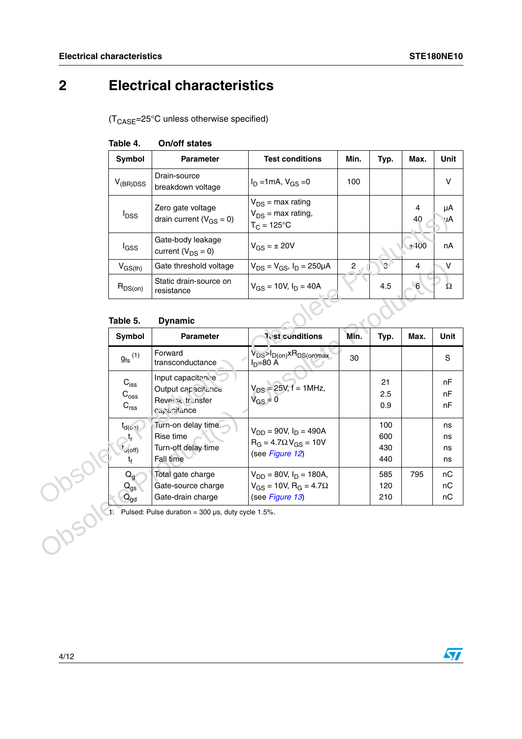# <span id="page-3-0"></span>**2 Electrical characteristics**

 $(T_{\text{CASE}} = 25^{\circ} \text{C}$  unless otherwise specified)

| On/off states<br>Table 4. |  |
|---------------------------|--|
|---------------------------|--|

| <b>Symbol</b>           | <b>Parameter</b>                                    | <b>Test conditions</b>                                                  | Min. | Typ. | Max.    | Unit     |
|-------------------------|-----------------------------------------------------|-------------------------------------------------------------------------|------|------|---------|----------|
| V <sub>(BR)DSS</sub>    | Drain-source<br>breakdown voltage                   | $I_D = 1mA$ , $V_{GS} = 0$                                              | 100  |      |         | v        |
| <b>I</b> <sub>DSS</sub> | Zero gate voltage<br>drain current ( $V_{GS} = 0$ ) | $V_{DS}$ = max rating<br>$V_{DS}$ = max rating,<br>$T_C = 125^{\circ}C$ |      |      | 4<br>40 | μA<br>чA |
| l <sub>GSS</sub>        | Gate-body leakage<br>current ( $V_{DS} = 0$ )       | $V_{GS} = \pm 20V$                                                      |      |      | ±400    | nA       |
| $V_{GS(th)}$            | Gate threshold voltage                              | $V_{DS} = V_{GS}$ , $I_D = 250 \mu A$                                   | 2    | e.   | 4       | v        |
| $R_{DS(on)}$            | Static drain-source on<br>resistance                | $V_{GS}$ = 10V, $I_D$ = 40A                                             |      | 4.5  | 6       | Ω        |

### **Table 5. Dynamic**

|         | $I_{DSS}$                                                     | Luiu yulu vulluyu<br>drain current ( $V_{GS} = 0$ )                         | $V_{DS}$ = max rating,<br>$T_{C} = 125^{\circ}C$                                                    |                |                          | 40              | ۳۰<br>uΑ             |
|---------|---------------------------------------------------------------|-----------------------------------------------------------------------------|-----------------------------------------------------------------------------------------------------|----------------|--------------------------|-----------------|----------------------|
|         | l <sub>GSS</sub>                                              | Gate-body leakage<br>current ( $V_{DS} = 0$ )                               | $V_{GS} = \pm 20V$                                                                                  |                |                          | ±400            | nA                   |
|         | $V_{GS(th)}$                                                  | Gate threshold voltage                                                      | $V_{DS} = V_{GS}$ , $I_D = 250 \mu A$                                                               | $\overline{2}$ | e.                       | $\overline{4}$  | $\mathsf{V}$         |
|         | $R_{DS(on)}$                                                  | Static drain-source on<br>resistance                                        | $V_{GS}$ = 10V, $I_D$ = 40A                                                                         |                | 4.5                      | $6\phantom{.}6$ | Ω                    |
|         | Table 5.                                                      | <b>Dynamic</b>                                                              |                                                                                                     |                |                          |                 |                      |
|         | Symbol                                                        | Parameter                                                                   | <b>Test conditions</b>                                                                              | Min.           | Typ.                     | Max.            | Unit                 |
|         | $g_{\text{fs}}^{(1)}$                                         | Forward<br>transconductance                                                 | $V_{DS} > I_{D(0n)} \times R_{DS(0n) max}$<br>$ID=80 \text{ Å}$                                     | 30             |                          |                 | $\mathbf S$          |
|         | $C_{\text{iss}}$<br>$\mathrm{C_{oss}}$<br>$\mathrm{C_{rss}}$  | Input capacitone<br>Output capacitance<br>Revented triunsfer<br>capacitance | $V_{DS} = 25V$ , f = 1MHz,<br>$V_{GS} = 0$                                                          |                | 21<br>2.5<br>0.9         |                 | nF<br>nF<br>nF       |
|         | $t_{d(o,\nu)}$<br>t,<br>$t_{\text{u(off)}}$<br>t <sub>f</sub> | Turn-on delay time<br>Rise time<br>Turn-off delay time<br>Fall time         | $V_{DD} = 90V$ , $I_D = 490A$<br>$R_G = 4.7 \Omega V_{GS} = 10V$<br>(see Figure 12)                 |                | 100<br>600<br>430<br>440 |                 | ns<br>ns<br>ns<br>ns |
| J. Jour | $Q_{g}$<br>$Q_{gs}$<br>$Q_{gd}$                               | Total gate charge<br>Gate-source charge<br>Gate-drain charge                | $V_{DD} = 80V$ , $I_D = 180A$ ,<br>$V_{GS}$ = 10V, R <sub>G</sub> = 4.7 $\Omega$<br>(see Figure 13) |                | 585<br>120<br>210        | 795             | nC<br>nC<br>nC       |
|         |                                                               | Pulsed: Pulse duration = $300 \mu s$ , duty cycle 1.5%.                     |                                                                                                     |                |                          |                 |                      |

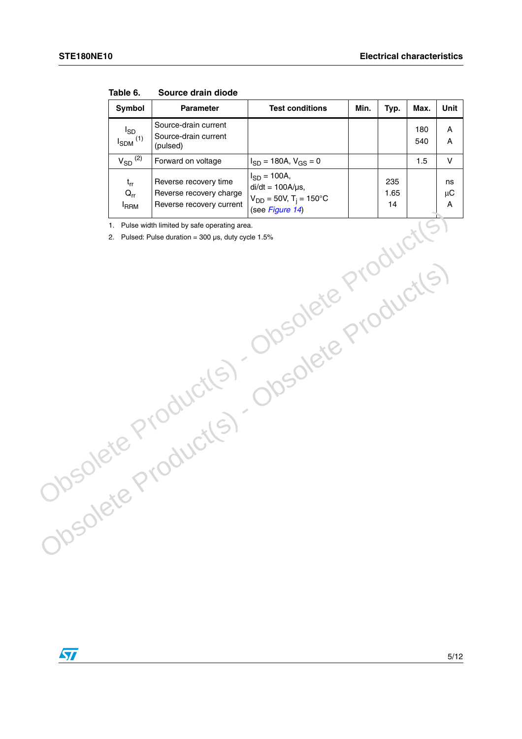| Symbol                               | Parameter                                                                    | <b>Test conditions</b>                                                                                   | Min. | Typ.              | Max.       | Unit               |
|--------------------------------------|------------------------------------------------------------------------------|----------------------------------------------------------------------------------------------------------|------|-------------------|------------|--------------------|
| $I_{SD}$<br>$I_{SDM}$ <sup>(1)</sup> | Source-drain current<br>Source-drain current<br>(pulsed)                     |                                                                                                          |      |                   | 180<br>540 | Α<br>Α             |
| $V_{SD}$ $(2)$                       | Forward on voltage                                                           | $I_{SD} = 180A, V_{GS} = 0$                                                                              |      |                   | 1.5        | $\mathsf V$        |
| $t_{rr}$<br>$Q_{rr}$<br><b>IRRM</b>  | Reverse recovery time<br>Reverse recovery charge<br>Reverse recovery current | $I_{SD} = 100A,$<br>$di/dt = 100A/\mu s$ ,<br>$V_{DD} = 50V$ , T <sub>j</sub> = 150°C<br>(see Figure 14) |      | 235<br>1.65<br>14 |            | ns<br>$\mu$ C<br>A |
| 1.                                   | Pulse width limited by safe operating area.                                  |                                                                                                          |      |                   |            |                    |
|                                      | 2. Pulsed: Pulse duration = $300 \,\mu s$ , duty cycle 1.5%                  |                                                                                                          |      |                   |            |                    |
|                                      |                                                                              |                                                                                                          |      |                   |            |                    |
|                                      |                                                                              |                                                                                                          |      |                   |            |                    |
|                                      |                                                                              |                                                                                                          |      |                   |            |                    |
|                                      |                                                                              | Josolete Productis                                                                                       |      |                   |            |                    |
|                                      |                                                                              |                                                                                                          |      |                   |            |                    |
|                                      |                                                                              |                                                                                                          |      |                   |            |                    |
|                                      |                                                                              |                                                                                                          |      |                   |            |                    |
|                                      |                                                                              |                                                                                                          |      |                   |            |                    |
|                                      |                                                                              |                                                                                                          |      |                   |            |                    |
|                                      |                                                                              |                                                                                                          |      |                   |            |                    |
|                                      |                                                                              |                                                                                                          |      |                   |            |                    |
|                                      |                                                                              |                                                                                                          |      |                   |            |                    |
|                                      |                                                                              |                                                                                                          |      |                   |            |                    |
|                                      |                                                                              |                                                                                                          |      |                   |            |                    |
|                                      |                                                                              |                                                                                                          |      |                   |            |                    |
|                                      |                                                                              |                                                                                                          |      |                   |            |                    |
|                                      |                                                                              |                                                                                                          |      |                   |            |                    |
|                                      | Obsolete Products)                                                           |                                                                                                          |      |                   |            |                    |
|                                      |                                                                              |                                                                                                          |      |                   |            |                    |

Obsolete Product(s) - Obsolete Product(s)<br>Obsolete Product(s) - Obsolete Product(s)<br>Obsolete Product(s) -

**Table 6. Source drain diode**

 $\sqrt{2}$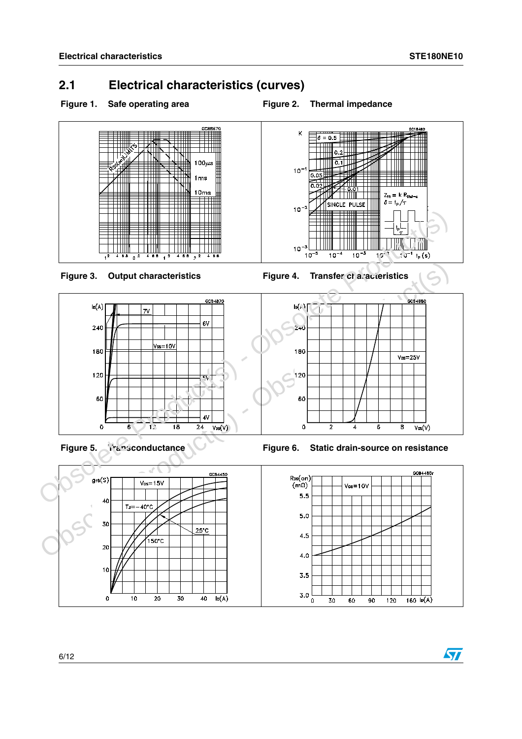## <span id="page-5-0"></span>**2.1 Electrical characteristics (curves)**

- Figure 1. Safe operating area **Figure 2. Thermal impedance** 
	-

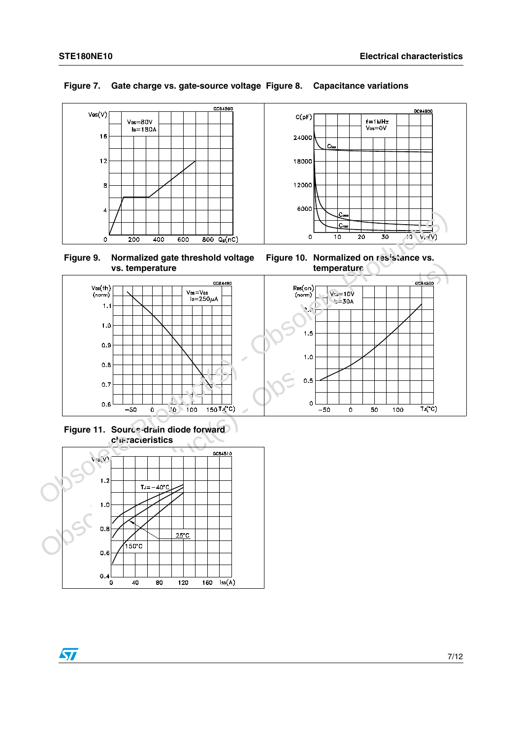

### **Figure 7. Gate charge vs. gate-source voltage Figure 8. Capacitance variations**



**Figure 10. Normalized on resistance vs. temperature**



**Figure 11. Source-drain diode forward characteristics**



 $\sqrt{2}$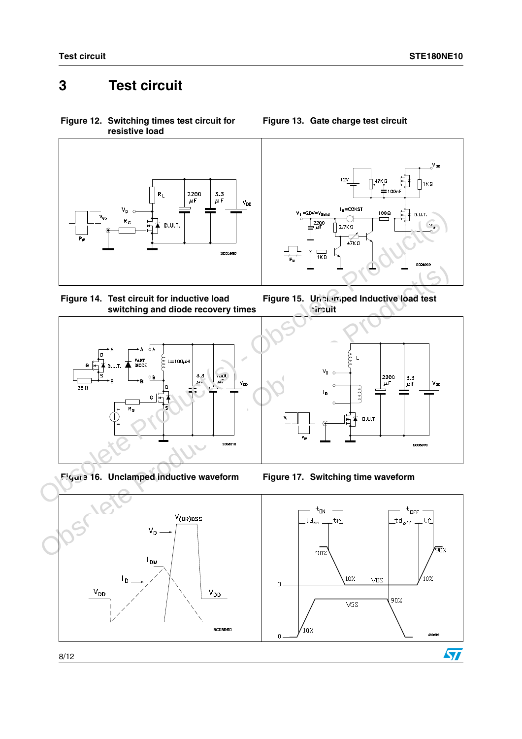# <span id="page-7-0"></span>**3 Test circuit**

<span id="page-7-1"></span>**Figure 12. Switching times test circuit for resistive load**



<span id="page-7-3"></span>



**Figure 16. Unclamped inductive waveform Figure 17. Switching time waveform**



<span id="page-7-2"></span>**Figure 13. Gate charge test circuit**





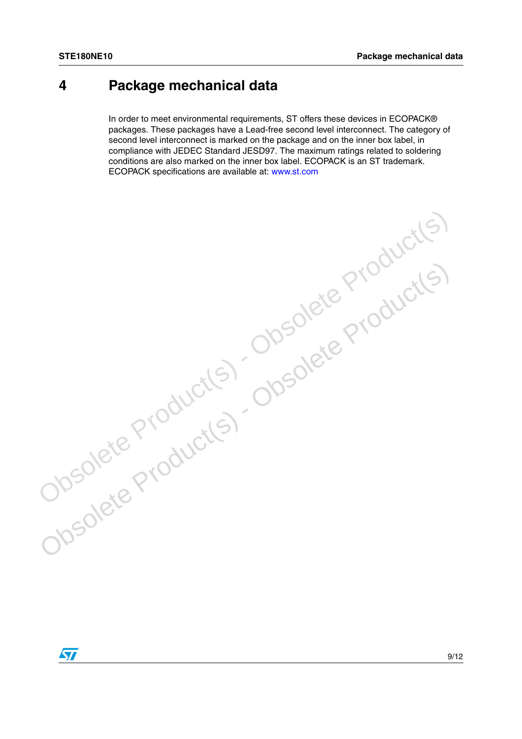# <span id="page-8-0"></span>**4 Package mechanical data**

In order to meet environmental requirements, ST offers these devices in ECOPACK® packages. These packages have a Lead-free second level interconnect. The category of second level interconnect is marked on the package and on the inner box label, in compliance with JEDEC Standard JESD97. The maximum ratings related to soldering conditions are also marked on the inner box label. ECOPACK is an ST trademark. ECOPACK specifications are available at: www.st.com

Obsolete Product(s) - Obsolete Product(s)<br>Obsolete Product(s) - Obsolete Product(s)<br>Obsolete Product(s) -

Obsolete Product(s) - Obsolete Product(s)

 $\sqrt{2}$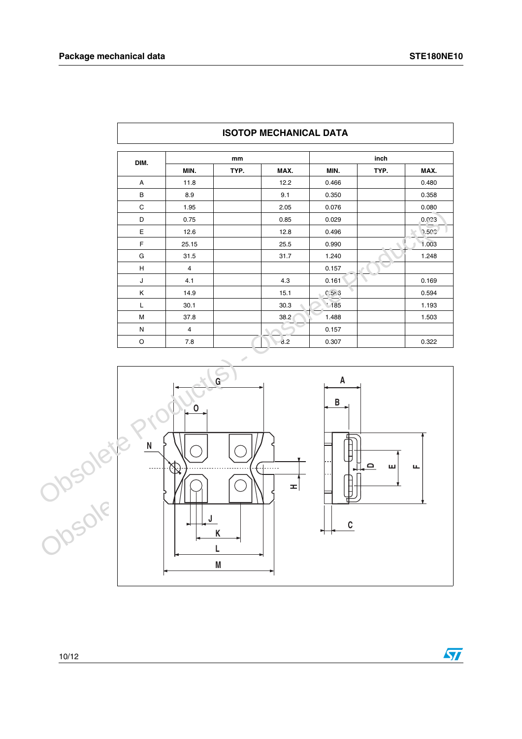$\sqrt{2}$ 

| DIM. | mm             |      |      | inch      |      |       |
|------|----------------|------|------|-----------|------|-------|
|      | MIN.           | TYP. | MAX. | MIN.      | TYP. | MAX.  |
| Α    | 11.8           |      | 12.2 | 0.466     |      | 0.480 |
| в    | 8.9            |      | 9.1  | 0.350     |      | 0.358 |
| C    | 1.95           |      | 2.05 | 0.076     |      | 0.080 |
| D    | 0.75           |      | 0.85 | 0.029     |      | 0.023 |
| Е    | 12.6           |      | 12.8 | 0.496     |      | 0.502 |
| F    | 25.15          |      | 25.5 | 0.990     |      | 1.003 |
| G    | 31.5           |      | 31.7 | 1.240     |      | 1.248 |
| н    | $\overline{4}$ |      |      | 0.157     |      |       |
| J    | 4.1            |      | 4.3  | 0.161     |      | 0.169 |
| Κ    | 14.9           |      | 15.1 | $0.5 - 3$ |      | 0.594 |
| L    | 30.1           |      | 30.3 | 185       |      | 1.193 |
| M    | 37.8           |      | 38.2 | 1.488     |      | 1.503 |
| N    | 4              |      |      | 0.157     |      |       |
| O    | 7.8            |      | d.2  | 0.307     |      | 0.322 |

### **ISOTOP MECHANICAL DATA**

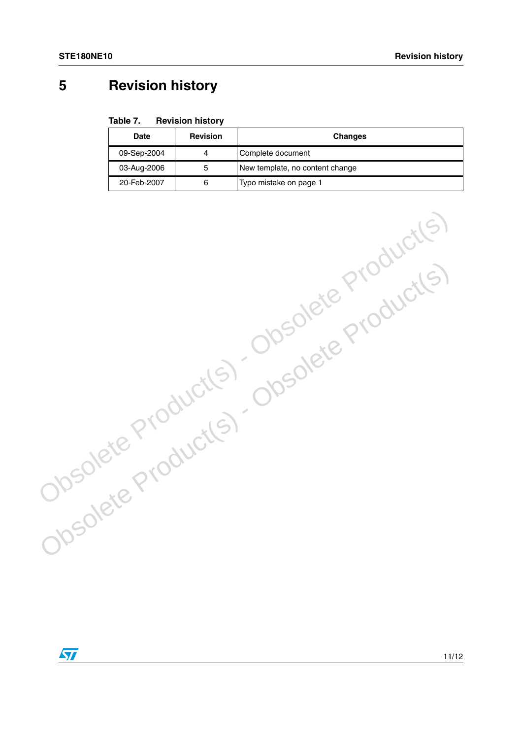# <span id="page-10-0"></span>**5 Revision history**

#### Table 7. **Revision history**

| <b>Date</b> | <b>Revision</b> | <b>Changes</b>                  |
|-------------|-----------------|---------------------------------|
| 09-Sep-2004 | 4               | Complete document               |
| 03-Aug-2006 | 5               | New template, no content change |
| 20-Feb-2007 | 6               | Typo mistake on page 1          |

Obsolete Product(s) - Obsolete Product(s)<br>Obsolete Product(s) - Obsolete Product(s)<br>Obsolete Product(s) -

Obsolete Product(s) - Obsolete Product(s)